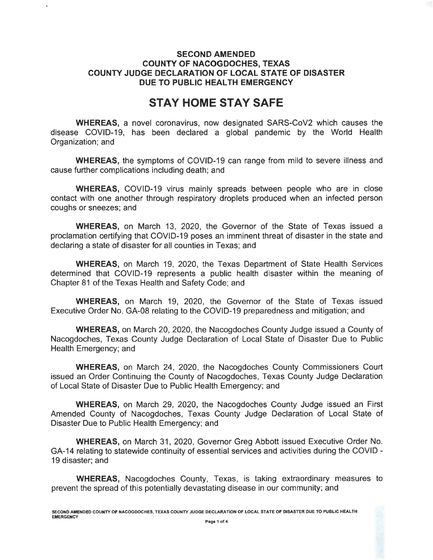## **SECOND AMENDED COUNTY OF NACOGDOCHES, TEXAS COUNTY JUDGE DECLARATION OF LOCAL STATE OF DISASTER DUE TO PUBLIC HEALTH EMERGENCY**

# **STAY HOME STAY SAFE**

**WHEREAS,** a novel coronavirus, now designated SARS-CoV2 which causes the disease COVID-19, has been declared a global pandemic by the World Health Organization; and

**WHEREAS,** the symptoms of COVID-19 can range from mild to severe illness and cause further complications including death; and

**WHEREAS,** COVID-19 virus mainly spreads between people who are in close contact with one another through respiratory droplets produced when an infected person coughs or sneezes; and

**WHEREAS,** on March 13, 2020, the Governor of the State of Texas issued a proclamation certifying that COVID-19 poses an imminent threat of disaster in the state and declaring a state of disaster for all counties in Texas; and

**WHEREAS,** on March 19, 2020, the Texas Department of State Health Services determined that COVID-19 represents a public health disaster within the meaning of Chapter 81 of the Texas Health and Safety Code; and

**WHEREAS,** on March 19, 2020, the Governor of the State of Texas issued Executive Order No. GA-08 relating to the COVID-19 preparedness and mitigation; and

**WHEREAS,** on March 20, 2020, the Nacogdoches County Judge issued a County of Nacogdoches, Texas County Judge Declaration of Local State of Disaster Due to Public Health Emergency; and

**WHEREAS,** on March 24, 2020, the Nacogdoches County Commissioners Court issued an Order Continuing the County of Nacogdoches, Texas County Judge Declaration of Local State of Disaster Due to Public Health Emergency; and

**WHEREAS,** on March 29, 2020, the Nacogdoches County Judge issued an First Amended County of Nacogdoches, Texas County Judge Declaration of Local State of Disaster Due to Public Health Emergency; and

**WHEREAS,** on March 31, 2020, Governor Greg Abbott issued Executive Order No. GA-14 relating to statewide continuity of essential services and activities during the COVID-19 disaster; and

**WHEREAS,** Nacogdoches County, Texas, is taking extraordinary measures to prevent the spread of this potentially devastating disease in our community; and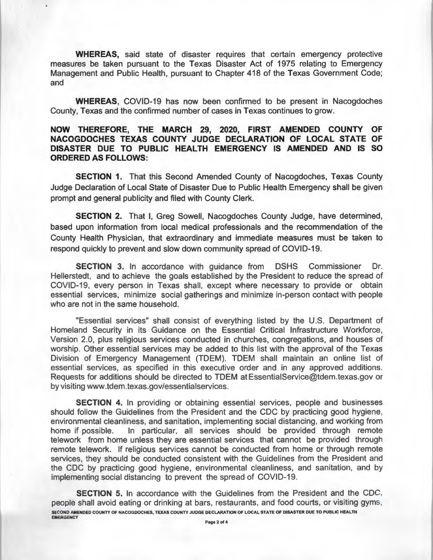**WHEREAS,** said state of disaster requires that certain emergency protective measures be taken pursuant to the Texas Disaster Act of 1975 relating to Emergency Management and Public Health, pursuant to Chapter 418 of the Texas Government Code; and

**WHEREAS,** COVID-19 has now been confirmed to be present in Nacogdoches County, Texas and the confirmed number of cases in Texas continues to grow.

### **NOW THEREFORE, THE MARCH 29, 2020, FIRST AMENDED COUNTY OF NACOGDOCHES TEXAS COUNTY JUDGE DECLARATION OF LOCAL STATE OF DISASTER DUE TO PUBLIC HEALTH EMERGENCY IS AMENDED AND IS SO ORDERED AS FOLLOWS:**

**SECTION 1.** That this Second Amended County of Nacogdoches, Texas County Judge Declaration of Local State of Disaster Due to Public Health Emergency shall be given prompt and general publicity and filed with County Clerk.

**SECTION 2.** That I, Greg Sowell, Nacogdoches County Judge, have determined, based upon information from local medical professionals and the recommendation of the County Health Physician, that extraordinary and immediate measures must be taken to respond quickly to prevent and slow down community spread of COVID-19.

**SECTION** 3. In accordance with guidance from DSHS Commissioner Dr. Hellerstedt, and to achieve the goals established by the President to reduce the spread of COVID-19, every person in Texas shall, except where necessary to provide or obtain essential services, minimize social gatherings and minimize in-person contact with people who are not in the same household.

"Essential services" shall consist of everything listed by the U.S. Department of Homeland Security in its Guidance on the Essential Critical Infrastructure Workforce, Version 2.0, plus religious services conducted in churches, congregations, and houses of worship. Other essential services may be added to this list with the approval of the Texas Division of Emergency Management (TDEM). TDEM shall maintain an online list of essential services, as specified in this executive order and in any approved additions. Requests for additions should be directed to TDEM at EssentiaiService@tdem.texas.gov or by visiting www.tdem.texas.gov/essentialservices.

**SECTION 4.** In providing or obtaining essential services, people and businesses should follow the Guidelines from the President and the CDC by practicing good hygiene, environmental cleanliness, and sanitation, implementing social distancing, and working from home if possible. In particular, all services should be provided through remote telework from home unless they are essential services that cannot be provided through remote telework. If religious services cannot be conducted from home or through remote services, they should be conducted consistent with the Guidelines from the President and the CDC by practicing good hygiene, environmental cleanliness, and sanitation, and by implementing social distancing to prevent the spread of COVID-19.

**SECTION** 5. In accordance with the Guidelines from the President and the CDC, people shall avoid eating or drinking at bars, restaurants, and food courts, or visiting gyms, SECOND AMENDED COUNTY OF NACOGDOCHES, TEXAS COUNTY JUDGE DECLARATION OF LOCAL STATE OF DISASTER DUE TO PUBLIC HEALTH **EMERGENCY**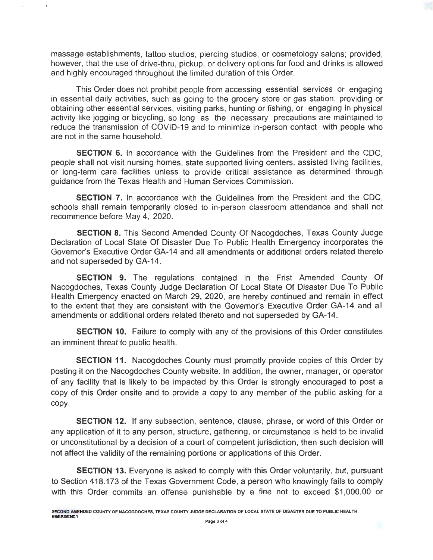massage establishments, tattoo studios, piercing studios, or cosmetology salons; provided, however, that the use of drive-thru, pickup, or delivery options for food and drinks is allowed and highly encouraged throughout the limited duration of this Order.

This Order does not prohibit people from accessing essential services or engaging in essential daily activities, such as going to the grocery store or gas station, providing or obtaining other essential services, visiting parks, hunting or fishing, or engaging in physical activity like jogging or bicycling, so long as the necessary precautions are maintained to reduce the transmission of COVID-19 and to minimize in-person contact with people who are not in the same household.

**SECTION 6.** In accordance with the Guidelines from the President and the CDC, people shall not visit nursing homes, state supported living centers, assisted living facilities , or long-term care facilities unless to provide critical assistance as determined through guidance from the Texas Health and Human Services Commission.

**SECTION** 7. In accordance with the Guidelines from the President and the CDC, schools shall remain temporarily closed to in-person classroom attendance and shall not recommence before May 4, 2020.

**SECTION 8.** This Second Amended County Of Nacogdoches, Texas County Judge Declaration of Local State Of Disaster Due To Public Health Emergency incorporates the Governor's Executive Order GA-14 and all amendments or additional orders related thereto and not superseded by GA-14.

**SECTION 9.** The regulations contained in the Frist Amended County Of Nacogdoches, Texas County Judge Declaration Of Local State Of Disaster Due To Public Health Emergency enacted on March 29, 2020, are hereby continued and remain in effect to the extent that they are consistent with the Governor's Executive Order GA-14 and all amendments or additional orders related thereto and not superseded by GA-14.

**SECTION 10.** Failure to comply with any of the provisions of this Order constitutes an imminent threat to public health.

**SECTION 11.** Nacogdoches County must promptly provide copies of this Order by posting it on the Nacogdoches County website. In addition, the owner, manager, or operator of any facility that is likely to be impacted by this Order is strongly encouraged to post a copy of this Order onsite and to provide a copy to any member of the public asking for a copy.

**SECTION 12.** If any subsection, sentence, clause, phrase, or word of this Order or any application of it to any person, structure, gathering, or circumstance is held to be invalid or unconstitutional by a decision of a court of competent jurisdiction, then such decision will not affect the validity of the remaining portions or applications of this Order.

**SECTION 13.** Everyone is asked to comply with this Order voluntarily, but, pursuant to Section 418.173 of the Texas Government Code, a person who knowingly fails to comply with this Order commits an offense punishable by a fine not to exceed \$1,000.00 or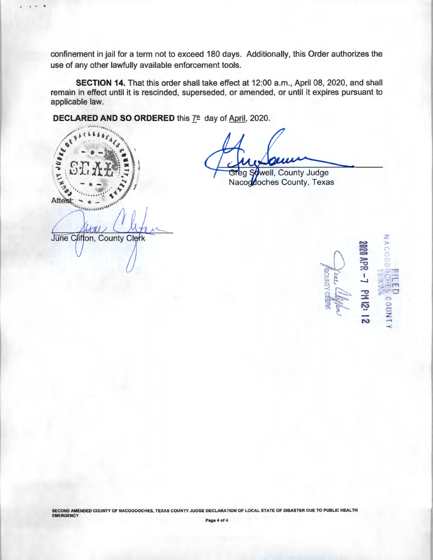confinement in jail for a term not to exceed 180 days. Additionally, this Order authorizes the use of any other lawfully available enforcement tools.

**SECTION 14.** That this order shall take effect at 12:00 a.m., April 08, 2020, and shall remain in effect until it is rescinded, superseded, or amended, or until it expires pursuant to applicable law.

**DECLARED AND SO ORDERED** this  $7^{\text{th}}$  day of April, 2020.

"'('' .... .., .. ~ .. , .. /-;~(, ,,., ···· ... / \ ... *..(* . */* ~ ' ·· .. , ... \  $\left( \begin{matrix} \sqrt{2} & \sqrt{2} & \sqrt{2} & \sqrt{2} & \sqrt{2} \\ \sqrt{2} & \sqrt{2} & \sqrt{2} & \sqrt{2} & \sqrt{2} \\ \sqrt{2} & \sqrt{2} & \sqrt{2} & \sqrt{2} & \sqrt{2} \end{matrix} \right)$ <sup>~</sup>(.'fr: h£.i\. \ \ . .., : *J..:)* • *t* : ~ t <sup>~</sup>y . . --...: · . ...- ·. '" . :\_, I \ ~.? . . - • - !: ~ *1'* • " •• • •l • •· ~ \ " ·· ... ....... ~ ... Atte's.t: .... • \_ • .....

.I • • •

well, County Judge Greg Nacogooches County, Texas

June Clifton, County Clerk

>  $\Xi$ ::::0  $\overline{\mathbf{r}}$  $\mathbf{r}$  $\frac{1}{2}$  $\ddot{2}$  $C^{\infty}_{\Gamma}$  $\leq$  $\frac{1}{2}$  $\frac{1}{2}$  $\frac{1}{2}$  $\frac{1}{2}$  $\mathcal{G}^{\text{unif}}$  $\mathcal{C}$ and the -<

SECOND AMENDED COUNTY OF NACOGDOCHES, TEXAS COUNTY JUDGE DECLARATION OF LOCAL STATE OF DISASTER DUE TO PUBLIC HEALTH<br>EMERGENCY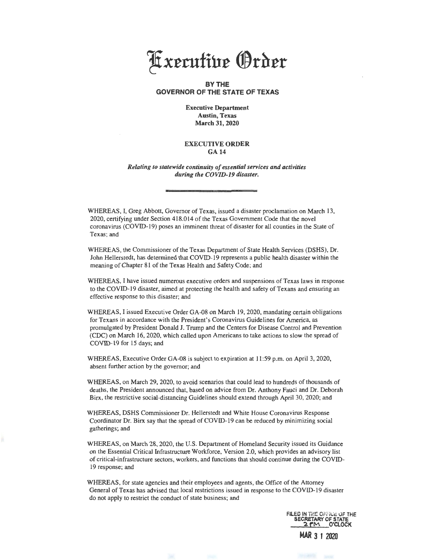

#### **BY THE GOVERNOR OF THE STATE OF TEXAS**

Executive Department Austin, Texas March 31,2020

#### EXECUTIVE ORDER GA14

*Relating to statewide continuity of essential services and activities during the COVID-19 disaster.* 

WHEREAS, I, Greg Abbott, Governor of Texas, issued a disaster proclamation on March 13, 2020, certifying under Section 418.014 of the Texas Government Code that the novel coronavirus (COVID-19) poses an imminent threat of disaster for all counties in the State of Texas; and

WHEREAS, the Commissioner of the Texas Department of State Health Services (DSHS), Dr. John Hellerstedt, has determined that COVID-19 represents a public health disaster within the meaning of Chapter 81 of the Texas Health and Safety Code; and

WHEREAS., I have issued numerous executive orders and suspensions of Texas laws in response to the COVID-19 disaster, aimed at protecting the health and safety of Texans and ensuring an effective response to this disaster; and

WHEREAS, I issued Executive Order GA-08 on March 19, 2020, mandating certain obligations for Texans in accordance with the President's Coronavirus Guidelines for America, as promulgated by President Donald J. Trump and the Centers for Disease Control and Prevention (CDC) on March 16, 2020, which called upon Americans to take actions to slow the spread of COVID-19 for 15 days; and

WHEREAS, Executive Order GA-08 is subject to expiration at 11:59 p.m. on April 3, 2020, absent further action by the governor; and

WHEREAS, on March 29, 2020, to avoid scenarios that could lead to hundreds of thousands of deaths, the President announced that, based on advice from Dr. Anthony Fauci and Dr. Deborah Birx, the restrictive social-distancing Guidelines should extend through April 30, 2020; and

WHEREAS, DSHS Commissioner Dr. Hellerstedt and White House Coronavirus Response Coordinator Dr. Birx say that the spread of COVID-19 can be reduced by minimizing social gatherings; and

WHEREAS, on March 28, 2020, the U.S. Department of Homeland Security issued its Guidance on the Essential Critical Infrastructure Workforce, Version 2.0, which provides an advisory list of critical-infrastructure sectors, workers, and functions that should continue during the COVID-19 response; and

WHEREAS, for state agencies and their employees and agents, the Office of the Attorney General of Texas has advised that local restrictions issued in response to the COVID-19 disaster do not apply to restrict the conduct of state business; and

> FILED IN THE OFFICE OF THE **RETARY OF S**  $2$   $\mathsf{P}$  $\mathsf{M}$  O'CLOCK **MAR 3** 1 2020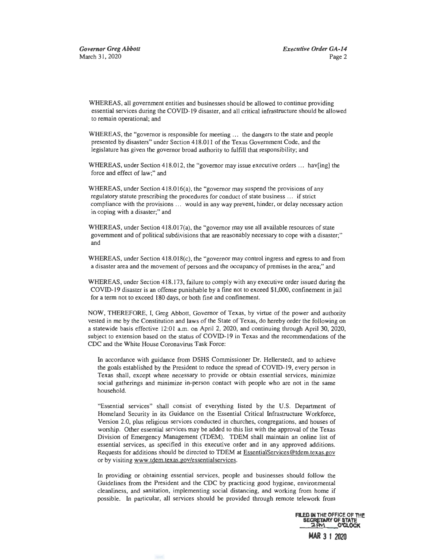WHEREAS, all government entities and businesses should be allowed to continue providing essential services during the COVID- 19 disaster, and all critical infrastructure should be allowed to remain operational; and

WHEREAS, the "governor is responsible for meeting ... the dangers to the state and people presented by disasters" under Section 418.011 of the Texas Government Code, and the legislature has given the governor broad authority to fulfill that responsibility; and

WHEREAS, under Section 418.012, the "governor may issue executive orders ... hav[ing] the force and effect of law;" and

WHEREAS, under Section 418.016(a), the "governor may suspend the provisions of any regulatory statute prescribing the procedures for conduct of state business . . . if strict compliance with the provisions ... would in any way prevent, hinder, or delay necessary action in coping with a disaster;" and

WHEREAS, under Section 418.017(a), the "governor may use all available resources of state government and of political subdivisions that are reasonably necessary to cope with a disaster;" and

WHEREAS, under Section 418.018(c), the "governor may control ingress and egress to and from a disaster area and the movement of persons and the occupancy of premises in the area;" and

WHEREAS, under Section 418.173, failure to comply with any executive order issued during the COVID-19 disaster is an offense punishable by a fine not to exceed \$1,000, confinement in jail for a term not to exceed 180 days, or both fine and confinement.

NOW, THEREFORE, I, Greg Abbott, Governor of Texas, by virtue of the power and authority vested in me by the Constitution and laws of the State of Texas, do hereby order the following on a statewide basis effective 12:01 a.m. on April 2, 2020, and continuing through April 30, 2020, subject to extension based on the status of COVID-19 in Texas and the recommendations of the CDC and the White House Coronavirus Task Force:

In accordance with guidance from DSHS Commissioner Dr. Hellerstedt, and to achieve the goals established by the President to reduce the spread of COVID-19, every person in Texas shall, except where necessary to provide or obtain essential services, minimize social gatherings and minimize in-person contact with people who are not in the same household.

"Essential services" shall consist of everything listed by the U.S. Department of Homeland Security in its Guidance on the Essential Critical Infrastructure Workforce, Version 2.0, plus religious services conducted in churches, congregations, and houses of worship. Other essential services may be added to this list with the approval of the Texas Divisiort of Emergency Management (TDEM). TDEM shall maintain an online list of essential services, as specified in this executive order and in any approved additions. Requests for additions should be directed to TDEM at EssentiaiServices@tdem.texas.gov or by visiting www.tdem.texas.gov/essentialservices.

In providing or obtaining essential services, people and businesses should follow the Guidelines from the President and the CDC by practicing good hygiene, environmental cleanliness, and sanitation, implementing social distancing, and working from home if possible. In particular, all services should be provided through remote telework from

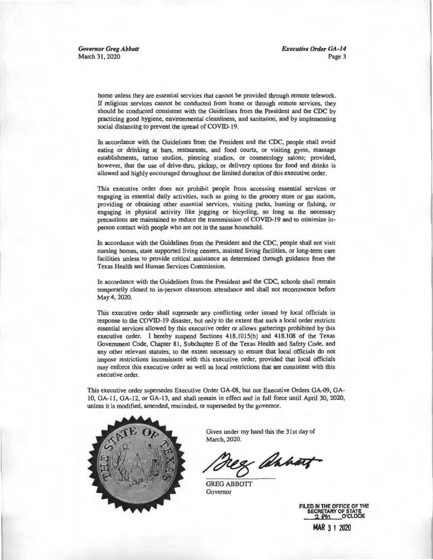*Governor Greg Abbott*  March 31, 2020

*Executive Order GA-14*  Page 3

home unless they are essential services that cannot be provided through remote telework. If religious services cannot be conducted from home or through remote services, they should be conducted consistent with the Guidelines from the President and the CDC by practicing good hygiene, environmental cleanliness, and sanitation, and by implementing social distancing to prevent the spread of COVID-19.

In accordance with the Guidelines from the President and the CDC, people shall avoid eating or drinking at bars, restaurants, and food courts, or visiting gyms, massage establishments, tattoo studios, piercing studios, or cosmetology salons; provided, however, that the use of drive-thru, pickup, or delivery options for food and drinks is allowed and highly encouraged throughout the limited duration of this executive order.

This executive order does not prohibit people from accessing essential services or engaging in essential daily activities, such as going to the grocery store or gas station, providing or obtaining other essential services, visiting parks, hunting or fishing, or engaging in physical activity like jogging or bicycling, so long as the necessary precautions are maintained to reduce the transmission of COVID-19 and to minimize inperson contact with people who are not in the same household.

In accordance with the Guidelines from the President and the CDC, people shall not visit nursing homes, state supported living centers, assisted living facilities, or long-term care facilities unless to provide critical assistance as determined through guidance from the Texas Health and Human Services Commission.

In accordance with the Guidelines from the President and the CDC, schools shall remain temporarily closed to in-person classroom attendance and shall not recommence before May4, 2020.

This executive order shall supersede any conflicting order issued by local officials in response to the COVID-19 disaster, but only to the extent that such a local order restricts essential services allowed by this executive order or allows gatherings prohibited by this executive order. I hereby suspend Sections 418.!015(b) and 418.108 of the Texas Government Code, Chapter 81, Subchapter E of the Texas Health and Safety Code, and any other relevant statutes, to the extent necessary to ensure that local officials do not impose restrictions inconsistent with this executive order, provided that local officials may enforce this executive order as well as local restrictions that are consistent with this executive order.

This executive order supersedes Executive Order GA-08, but not Executive Orders GA-09, GA-10, GA-11, GA-12, or GA-13, and shall remain in effect and in full force until April 30, 2020, unless it is modified, amended, rescinded, or superseded by the governor.



Given under my hand this the 31st day of March, 2020.

& annoy

GREG ABBOTT Governor

FILED IN THE OFFICE OF THE SECRETARY OF STATE<br>2 PM O'CLOCK

**MAR** 3 1 2020